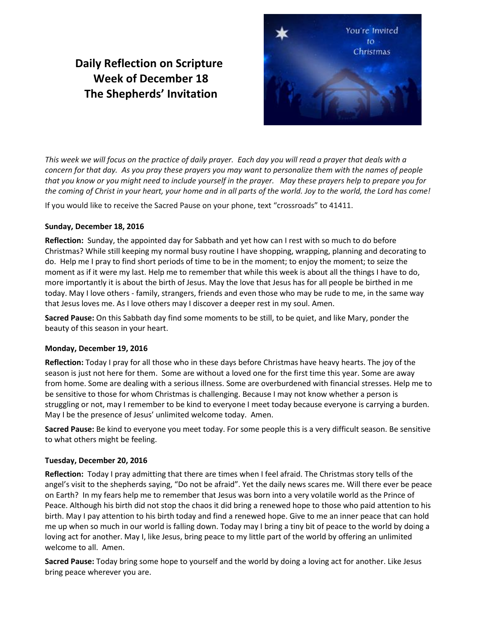# **Daily Reflection on Scripture Week of December 18 The Shepherds' Invitation**



*This week we will focus on the practice of daily prayer. Each day you will read a prayer that deals with a concern for that day. As you pray these prayers you may want to personalize them with the names of people that you know or you might need to include yourself in the prayer. May these prayers help to prepare you for the coming of Christ in your heart, your home and in all parts of the world. Joy to the world, the Lord has come!* 

If you would like to receive the Sacred Pause on your phone, text "crossroads" to 41411.

## **Sunday, December 18, 2016**

**Reflection:** Sunday, the appointed day for Sabbath and yet how can I rest with so much to do before Christmas? While still keeping my normal busy routine I have shopping, wrapping, planning and decorating to do. Help me I pray to find short periods of time to be in the moment; to enjoy the moment; to seize the moment as if it were my last. Help me to remember that while this week is about all the things I have to do, more importantly it is about the birth of Jesus. May the love that Jesus has for all people be birthed in me today. May I love others - family, strangers, friends and even those who may be rude to me, in the same way that Jesus loves me. As I love others may I discover a deeper rest in my soul. Amen.

**Sacred Pause:** On this Sabbath day find some moments to be still, to be quiet, and like Mary, ponder the beauty of this season in your heart.

## **Monday, December 19, 2016**

**Reflection:** Today I pray for all those who in these days before Christmas have heavy hearts. The joy of the season is just not here for them. Some are without a loved one for the first time this year. Some are away from home. Some are dealing with a serious illness. Some are overburdened with financial stresses. Help me to be sensitive to those for whom Christmas is challenging. Because I may not know whether a person is struggling or not, may I remember to be kind to everyone I meet today because everyone is carrying a burden. May I be the presence of Jesus' unlimited welcome today. Amen.

**Sacred Pause:** Be kind to everyone you meet today. For some people this is a very difficult season. Be sensitive to what others might be feeling.

## **Tuesday, December 20, 2016**

**Reflection:** Today I pray admitting that there are times when I feel afraid. The Christmas story tells of the angel's visit to the shepherds saying, "Do not be afraid". Yet the daily news scares me. Will there ever be peace on Earth? In my fears help me to remember that Jesus was born into a very volatile world as the Prince of Peace. Although his birth did not stop the chaos it did bring a renewed hope to those who paid attention to his birth. May I pay attention to his birth today and find a renewed hope. Give to me an inner peace that can hold me up when so much in our world is falling down. Today may I bring a tiny bit of peace to the world by doing a loving act for another. May I, like Jesus, bring peace to my little part of the world by offering an unlimited welcome to all. Amen.

**Sacred Pause:** Today bring some hope to yourself and the world by doing a loving act for another. Like Jesus bring peace wherever you are.